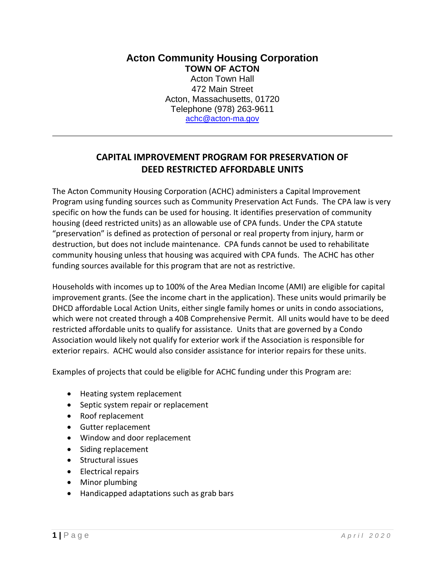**Acton Community Housing Corporation TOWN OF ACTON** Acton Town Hall 472 Main Street Acton, Massachusetts, 01720 Telephone (978) 263-9611 [achc@acton-ma.gov](mailto:achc@acton-ma.gov)

## **CAPITAL IMPROVEMENT PROGRAM FOR PRESERVATION OF DEED RESTRICTED AFFORDABLE UNITS**

The Acton Community Housing Corporation (ACHC) administers a Capital Improvement Program using funding sources such as Community Preservation Act Funds. The CPA law is very specific on how the funds can be used for housing. It identifies preservation of community housing (deed restricted units) as an allowable use of CPA funds. Under the CPA statute "preservation" is defined as protection of personal or real property from injury, harm or destruction, but does not include maintenance. CPA funds cannot be used to rehabilitate community housing unless that housing was acquired with CPA funds. The ACHC has other funding sources available for this program that are not as restrictive.

Households with incomes up to 100% of the Area Median Income (AMI) are eligible for capital improvement grants. (See the income chart in the application). These units would primarily be DHCD affordable Local Action Units, either single family homes or units in condo associations, which were not created through a 40B Comprehensive Permit. All units would have to be deed restricted affordable units to qualify for assistance. Units that are governed by a Condo Association would likely not qualify for exterior work if the Association is responsible for exterior repairs. ACHC would also consider assistance for interior repairs for these units.

Examples of projects that could be eligible for ACHC funding under this Program are:

- Heating system replacement
- Septic system repair or replacement
- Roof replacement
- Gutter replacement
- Window and door replacement
- Siding replacement
- Structural issues
- Electrical repairs
- Minor plumbing
- Handicapped adaptations such as grab bars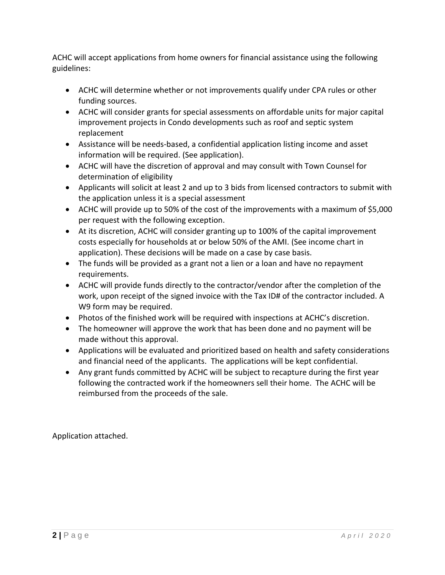ACHC will accept applications from home owners for financial assistance using the following guidelines:

- ACHC will determine whether or not improvements qualify under CPA rules or other funding sources.
- ACHC will consider grants for special assessments on affordable units for major capital improvement projects in Condo developments such as roof and septic system replacement
- Assistance will be needs-based, a confidential application listing income and asset information will be required. (See application).
- ACHC will have the discretion of approval and may consult with Town Counsel for determination of eligibility
- Applicants will solicit at least 2 and up to 3 bids from licensed contractors to submit with the application unless it is a special assessment
- ACHC will provide up to 50% of the cost of the improvements with a maximum of \$5,000 per request with the following exception.
- At its discretion, ACHC will consider granting up to 100% of the capital improvement costs especially for households at or below 50% of the AMI. (See income chart in application). These decisions will be made on a case by case basis.
- The funds will be provided as a grant not a lien or a loan and have no repayment requirements.
- ACHC will provide funds directly to the contractor/vendor after the completion of the work, upon receipt of the signed invoice with the Tax ID# of the contractor included. A W9 form may be required.
- Photos of the finished work will be required with inspections at ACHC's discretion.
- The homeowner will approve the work that has been done and no payment will be made without this approval.
- Applications will be evaluated and prioritized based on health and safety considerations and financial need of the applicants. The applications will be kept confidential.
- Any grant funds committed by ACHC will be subject to recapture during the first year following the contracted work if the homeowners sell their home. The ACHC will be reimbursed from the proceeds of the sale.

Application attached.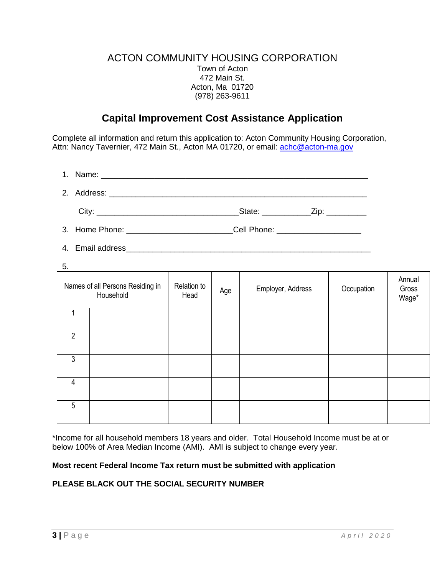### ACTON COMMUNITY HOUSING CORPORATION Town of Acton 472 Main St. Acton, Ma 01720 (978) 263-9611

# **Capital Improvement Cost Assistance Application**

Complete all information and return this application to: Acton Community Housing Corporation, Attn: Nancy Tavernier, 472 Main St., Acton MA 01720, or email: [achc@acton-ma.gov](mailto:achc@acton-ma.gov)

|                                       | State: <b>Example</b> | Zip: |
|---------------------------------------|-----------------------|------|
| $\sim$ $\sim$ $\sim$ $\sim$<br>$\sim$ | $\sim$ $\sim$ $\sim$  |      |

- 3. Home Phone: \_\_\_\_\_\_\_\_\_\_\_\_\_\_\_\_\_\_\_\_\_\_\_\_\_\_\_\_\_\_\_Cell Phone: \_\_\_\_\_\_\_\_\_\_\_\_\_\_\_\_\_\_\_\_\_\_
- 4. Email address **Automatic Executive Contract Contract Contract Contract Contract Contract Contract Contract Contract Contract Contract Contract Contract Contract Contract Contract Contract Contract Contract Contract Cont**
- 5.

| v.             |                                               |                     |     |                   |            |                          |
|----------------|-----------------------------------------------|---------------------|-----|-------------------|------------|--------------------------|
|                | Names of all Persons Residing in<br>Household | Relation to<br>Head | Age | Employer, Address | Occupation | Annual<br>Gross<br>Wage* |
|                |                                               |                     |     |                   |            |                          |
| $\overline{2}$ |                                               |                     |     |                   |            |                          |
| 3              |                                               |                     |     |                   |            |                          |
| $\overline{4}$ |                                               |                     |     |                   |            |                          |
| 5              |                                               |                     |     |                   |            |                          |

\*Income for all household members 18 years and older. Total Household Income must be at or below 100% of Area Median Income (AMI). AMI is subject to change every year.

#### **Most recent Federal Income Tax return must be submitted with application**

#### **PLEASE BLACK OUT THE SOCIAL SECURITY NUMBER**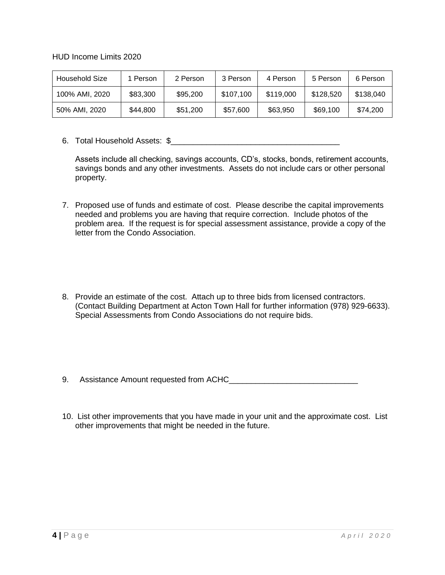HUD Income Limits 2020

| Household Size | 1 Person | 2 Person | 3 Person  | 4 Person  | 5 Person  | 6 Person  |
|----------------|----------|----------|-----------|-----------|-----------|-----------|
| 100% AMI, 2020 | \$83,300 | \$95,200 | \$107,100 | \$119,000 | \$128,520 | \$138,040 |
| 50% AMI, 2020  | \$44,800 | \$51,200 | \$57,600  | \$63,950  | \$69,100  | \$74,200  |

6. Total Household Assets: \$\_\_\_\_\_\_\_\_\_\_\_\_\_\_\_\_\_\_\_\_\_\_\_\_\_\_\_\_\_\_\_\_\_\_\_\_\_\_

Assets include all checking, savings accounts, CD's, stocks, bonds, retirement accounts, savings bonds and any other investments. Assets do not include cars or other personal property.

- 7. Proposed use of funds and estimate of cost. Please describe the capital improvements needed and problems you are having that require correction. Include photos of the problem area. If the request is for special assessment assistance, provide a copy of the letter from the Condo Association.
- 8. Provide an estimate of the cost. Attach up to three bids from licensed contractors. (Contact Building Department at Acton Town Hall for further information (978) 929-6633). Special Assessments from Condo Associations do not require bids.

9. Assistance Amount requested from ACHC\_

10. List other improvements that you have made in your unit and the approximate cost. List other improvements that might be needed in the future.